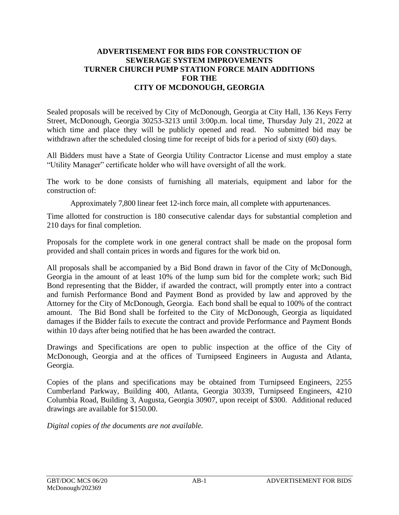## **ADVERTISEMENT FOR BIDS FOR CONSTRUCTION OF SEWERAGE SYSTEM IMPROVEMENTS TURNER CHURCH PUMP STATION FORCE MAIN ADDITIONS FOR THE CITY OF MCDONOUGH, GEORGIA**

Sealed proposals will be received by City of McDonough, Georgia at City Hall, 136 Keys Ferry Street, McDonough, Georgia 30253-3213 until 3:00p.m. local time, Thursday July 21, 2022 at which time and place they will be publicly opened and read. No submitted bid may be withdrawn after the scheduled closing time for receipt of bids for a period of sixty (60) days.

All Bidders must have a State of Georgia Utility Contractor License and must employ a state "Utility Manager" certificate holder who will have oversight of all the work.

The work to be done consists of furnishing all materials, equipment and labor for the construction of:

Approximately 7,800 linear feet 12-inch force main, all complete with appurtenances.

Time allotted for construction is 180 consecutive calendar days for substantial completion and 210 days for final completion.

Proposals for the complete work in one general contract shall be made on the proposal form provided and shall contain prices in words and figures for the work bid on.

All proposals shall be accompanied by a Bid Bond drawn in favor of the City of McDonough, Georgia in the amount of at least 10% of the lump sum bid for the complete work; such Bid Bond representing that the Bidder, if awarded the contract, will promptly enter into a contract and furnish Performance Bond and Payment Bond as provided by law and approved by the Attorney for the City of McDonough, Georgia. Each bond shall be equal to 100% of the contract amount. The Bid Bond shall be forfeited to the City of McDonough, Georgia as liquidated damages if the Bidder fails to execute the contract and provide Performance and Payment Bonds within 10 days after being notified that he has been awarded the contract.

Drawings and Specifications are open to public inspection at the office of the City of McDonough, Georgia and at the offices of Turnipseed Engineers in Augusta and Atlanta, Georgia.

Copies of the plans and specifications may be obtained from Turnipseed Engineers, 2255 Cumberland Parkway, Building 400, Atlanta, Georgia 30339, Turnipseed Engineers, 4210 Columbia Road, Building 3, Augusta, Georgia 30907, upon receipt of \$300. Additional reduced drawings are available for \$150.00.

*Digital copies of the documents are not available.*